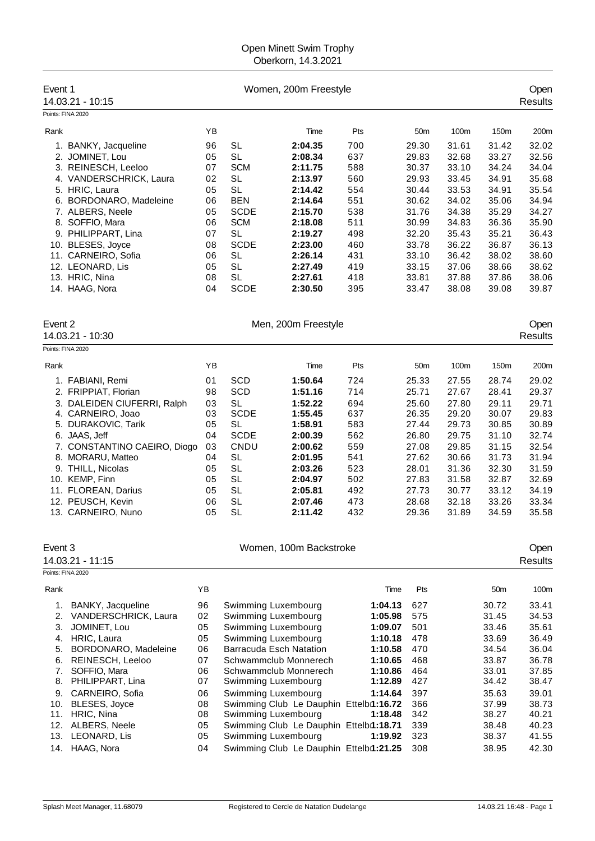## Open Minett Swim Trophy Oberkorn, 14.3.2021

| Event 1                                              | 14.03.21 - 10:15                                                                                                                                                                                                                                                                                   | Women, 200m Freestyle                                                            |                                                                                                                                                                        |                                                                                                                                                                                                                                                                                                                                                                                                           |                                                                                         |                                                                                                                                                                                                              |                                                                                                                   | Open<br><b>Results</b>                                                                                                     |                                                                                                                            |  |
|------------------------------------------------------|----------------------------------------------------------------------------------------------------------------------------------------------------------------------------------------------------------------------------------------------------------------------------------------------------|----------------------------------------------------------------------------------|------------------------------------------------------------------------------------------------------------------------------------------------------------------------|-----------------------------------------------------------------------------------------------------------------------------------------------------------------------------------------------------------------------------------------------------------------------------------------------------------------------------------------------------------------------------------------------------------|-----------------------------------------------------------------------------------------|--------------------------------------------------------------------------------------------------------------------------------------------------------------------------------------------------------------|-------------------------------------------------------------------------------------------------------------------|----------------------------------------------------------------------------------------------------------------------------|----------------------------------------------------------------------------------------------------------------------------|--|
| Points: FINA 2020                                    |                                                                                                                                                                                                                                                                                                    |                                                                                  |                                                                                                                                                                        |                                                                                                                                                                                                                                                                                                                                                                                                           |                                                                                         |                                                                                                                                                                                                              |                                                                                                                   |                                                                                                                            |                                                                                                                            |  |
| Rank                                                 |                                                                                                                                                                                                                                                                                                    | YΒ                                                                               |                                                                                                                                                                        | Time                                                                                                                                                                                                                                                                                                                                                                                                      | Pts                                                                                     | 50 <sub>m</sub>                                                                                                                                                                                              | 100m                                                                                                              | 150m                                                                                                                       | 200m                                                                                                                       |  |
|                                                      | 1. BANKY, Jacqueline<br>2. JOMINET, Lou<br>3. REINESCH, Leeloo<br>4. VANDERSCHRICK, Laura<br>5. HRIC, Laura<br>6. BORDONARO, Madeleine<br>7. ALBERS, Neele<br>8. SOFFIO, Mara                                                                                                                      | 96<br>05<br>07<br>02<br>05<br>06<br>05<br>06                                     | <b>SL</b><br><b>SL</b><br><b>SCM</b><br><b>SL</b><br><b>SL</b><br><b>BEN</b><br><b>SCDE</b><br><b>SCM</b>                                                              | 2:04.35<br>2:08.34<br>2:11.75<br>2:13.97<br>2:14.42<br>2:14.64<br>2:15.70<br>2:18.08                                                                                                                                                                                                                                                                                                                      | 700<br>637<br>588<br>560<br>554<br>551<br>538<br>511                                    | 29.30<br>29.83<br>30.37<br>29.93<br>30.44<br>30.62<br>31.76<br>30.99                                                                                                                                         | 31.61<br>32.68<br>33.10<br>33.45<br>33.53<br>34.02<br>34.38<br>34.83                                              | 31.42<br>33.27<br>34.24<br>34.91<br>34.91<br>35.06<br>35.29<br>36.36                                                       | 32.02<br>32.56<br>34.04<br>35.68<br>35.54<br>34.94<br>34.27<br>35.90                                                       |  |
|                                                      | 9. PHILIPPART, Lina<br>10. BLESES, Joyce<br>11. CARNEIRO, Sofia<br>12. LEONARD, Lis<br>13. HRIC, Nina<br>14. HAAG, Nora                                                                                                                                                                            | 07<br>08<br>06<br>05<br>08<br>04                                                 | <b>SL</b><br><b>SCDE</b><br><b>SL</b><br><b>SL</b><br><b>SL</b><br><b>SCDE</b>                                                                                         | 2:19.27<br>2:23.00<br>2:26.14<br>2:27.49<br>2:27.61<br>2:30.50                                                                                                                                                                                                                                                                                                                                            | 498<br>460<br>431<br>419<br>418<br>395                                                  | 32.20<br>33.78<br>33.10<br>33.15<br>33.81<br>33.47                                                                                                                                                           | 35.43<br>36.22<br>36.42<br>37.06<br>37.88<br>38.08                                                                | 35.21<br>36.87<br>38.02<br>38.66<br>37.86<br>39.08                                                                         | 36.43<br>36.13<br>38.60<br>38.62<br>38.06<br>39.87                                                                         |  |
| Event 2                                              | 14.03.21 - 10:30                                                                                                                                                                                                                                                                                   |                                                                                  |                                                                                                                                                                        | Men, 200m Freestyle                                                                                                                                                                                                                                                                                                                                                                                       |                                                                                         |                                                                                                                                                                                                              |                                                                                                                   |                                                                                                                            | Open<br><b>Results</b>                                                                                                     |  |
| Points: FINA 2020                                    |                                                                                                                                                                                                                                                                                                    |                                                                                  |                                                                                                                                                                        |                                                                                                                                                                                                                                                                                                                                                                                                           |                                                                                         |                                                                                                                                                                                                              |                                                                                                                   |                                                                                                                            |                                                                                                                            |  |
| Rank                                                 |                                                                                                                                                                                                                                                                                                    | YB                                                                               |                                                                                                                                                                        | Time                                                                                                                                                                                                                                                                                                                                                                                                      | Pts                                                                                     | 50 <sub>m</sub>                                                                                                                                                                                              | 100m                                                                                                              | 150m                                                                                                                       | 200m                                                                                                                       |  |
|                                                      | 1. FABIANI, Remi<br>2. FRIPPIAT, Florian<br>3. DALEIDEN CIUFERRI, Ralph<br>4. CARNEIRO, Joao<br>5. DURAKOVIC, Tarik<br>6. JAAS, Jeff<br>7. CONSTANTINO CAEIRO, Diogo<br>8. MORARU, Matteo<br>9. THILL, Nicolas<br>10. KEMP, Finn<br>11. FLOREAN, Darius<br>12. PEUSCH, Kevin<br>13. CARNEIRO, Nuno | 01<br>98<br>03<br>03<br>05<br>04<br>03<br>04<br>05<br>05<br>05<br>06<br>05       | <b>SCD</b><br><b>SCD</b><br><b>SL</b><br><b>SCDE</b><br><b>SL</b><br><b>SCDE</b><br>CNDU<br><b>SL</b><br><b>SL</b><br><b>SL</b><br><b>SL</b><br><b>SL</b><br><b>SL</b> | 1:50.64<br>1:51.16<br>1:52.22<br>1:55.45<br>1:58.91<br>2:00.39<br>2:00.62<br>2:01.95<br>2:03.26<br>2:04.97<br>2:05.81<br>2:07.46<br>2:11.42                                                                                                                                                                                                                                                               | 724<br>714<br>694<br>637<br>583<br>562<br>559<br>541<br>523<br>502<br>492<br>473<br>432 | 25.33<br>25.71<br>25.60<br>26.35<br>27.44<br>26.80<br>27.08<br>27.62<br>28.01<br>27.83<br>27.73<br>28.68<br>29.36                                                                                            | 27.55<br>27.67<br>27.80<br>29.20<br>29.73<br>29.75<br>29.85<br>30.66<br>31.36<br>31.58<br>30.77<br>32.18<br>31.89 | 28.74<br>28.41<br>29.11<br>30.07<br>30.85<br>31.10<br>31.15<br>31.73<br>32.30<br>32.87<br>33.12<br>33.26<br>34.59          | 29.02<br>29.37<br>29.71<br>29.83<br>30.89<br>32.74<br>32.54<br>31.94<br>31.59<br>32.69<br>34.19<br>33.34<br>35.58          |  |
| Event 3                                              |                                                                                                                                                                                                                                                                                                    |                                                                                  |                                                                                                                                                                        | Women, 100m Backstroke                                                                                                                                                                                                                                                                                                                                                                                    |                                                                                         |                                                                                                                                                                                                              |                                                                                                                   |                                                                                                                            | Open                                                                                                                       |  |
|                                                      | 14.03.21 - 11:15                                                                                                                                                                                                                                                                                   |                                                                                  |                                                                                                                                                                        |                                                                                                                                                                                                                                                                                                                                                                                                           |                                                                                         |                                                                                                                                                                                                              |                                                                                                                   |                                                                                                                            | <b>Results</b>                                                                                                             |  |
| Points: FINA 2020                                    |                                                                                                                                                                                                                                                                                                    |                                                                                  |                                                                                                                                                                        |                                                                                                                                                                                                                                                                                                                                                                                                           |                                                                                         |                                                                                                                                                                                                              |                                                                                                                   |                                                                                                                            |                                                                                                                            |  |
| Rank                                                 |                                                                                                                                                                                                                                                                                                    | YB                                                                               |                                                                                                                                                                        |                                                                                                                                                                                                                                                                                                                                                                                                           |                                                                                         | Time<br>Pts<br>1:04.13                                                                                                                                                                                       |                                                                                                                   | 50 <sub>m</sub>                                                                                                            | 100m                                                                                                                       |  |
| 1.<br>2.<br>3.<br>5.<br>6.<br>7.<br>8.<br>10.<br>11. | BANKY, Jacqueline<br>VANDERSCHRICK, Laura<br>JOMINET, Lou<br>4. HRIC, Laura<br>BORDONARO, Madeleine<br>REINESCH, Leeloo<br>SOFFIO, Mara<br>PHILIPPART, Lina<br>9. CARNEIRO, Sofia<br>BLESES, Joyce<br>HRIC, Nina<br>12. ALBERS, Neele<br>13. LEONARD, Lis<br>14. HAAG, Nora                        | 96<br>02<br>05<br>05<br>06<br>07<br>06<br>07<br>06<br>08<br>08<br>05<br>05<br>04 |                                                                                                                                                                        | Swimming Luxembourg<br>Swimming Luxembourg<br>Swimming Luxembourg<br>Swimming Luxembourg<br><b>Barracuda Esch Natation</b><br>Schwammclub Monnerech<br>Schwammclub Monnerech<br>Swimming Luxembourg<br>Swimming Luxembourg<br>Swimming Club Le Dauphin Ettelbi1:16.72<br>Swimming Luxembourg<br>Swimming Club Le Dauphin Ettelbi1:18.71<br>Swimming Luxembourg<br>Swimming Club Le Dauphin Ettelbi1:21.25 |                                                                                         | 627<br>1:05.98<br>575<br>501<br>1:09.07<br>478<br>1:10.18<br>1:10.58<br>470<br>468<br>1:10.65<br>1:10.86<br>464<br>1:12.89<br>427<br>397<br>1:14.64<br>366<br>342<br>1:18.48<br>339<br>323<br>1:19.92<br>308 |                                                                                                                   | 30.72<br>31.45<br>33.46<br>33.69<br>34.54<br>33.87<br>33.01<br>34.42<br>35.63<br>37.99<br>38.27<br>38.48<br>38.37<br>38.95 | 33.41<br>34.53<br>35.61<br>36.49<br>36.04<br>36.78<br>37.85<br>38.47<br>39.01<br>38.73<br>40.21<br>40.23<br>41.55<br>42.30 |  |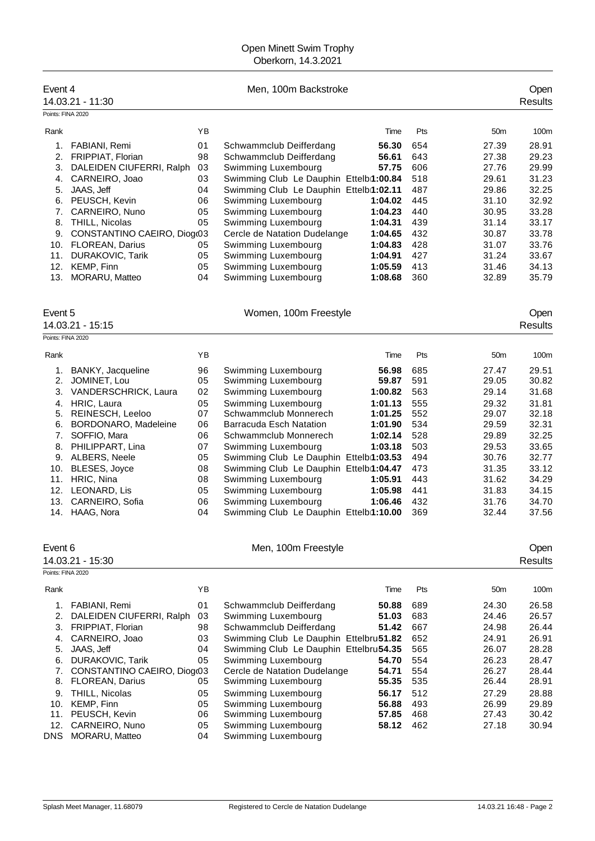## Open Minett Swim Trophy Oberkorn, 14.3.2021

| Event 4           | 14.03.21 - 11:30                                     |          | Men, 100m Backstroke                                                          |            |                 | Open<br>Results        |
|-------------------|------------------------------------------------------|----------|-------------------------------------------------------------------------------|------------|-----------------|------------------------|
| Points: FINA 2020 |                                                      |          |                                                                               |            |                 |                        |
| Rank              |                                                      | YB       | Time                                                                          | Pts        | 50 <sub>m</sub> | 100m                   |
| 1.                | FABIANI, Remi                                        | 01       | Schwammclub Deifferdang<br>56.30                                              | 654        | 27.39           | 28.91                  |
| 2.                | FRIPPIAT, Florian                                    | 98       | Schwammclub Deifferdang<br>56.61                                              | 643        | 27.38           | 29.23                  |
| 3.                | DALEIDEN CIUFERRI, Ralph                             | 03       | Swimming Luxembourg<br>57.75                                                  | 606        | 27.76           | 29.99                  |
| 4.                | CARNEIRO, Joao                                       | 03       | Swimming Club Le Dauphin Ettelbi1:00.84                                       | 518        | 29.61           | 31.23                  |
| 5.                | JAAS, Jeff                                           | 04       | Swimming Club Le Dauphin Ettelbi1:02.11                                       | 487        | 29.86           | 32.25                  |
|                   | 6. PEUSCH, Kevin                                     | 06       | Swimming Luxembourg<br>1:04.02                                                | 445        | 31.10           | 32.92                  |
| 7.<br>8.          | CARNEIRO, Nuno                                       | 05<br>05 | Swimming Luxembourg<br>1:04.23<br>1:04.31                                     | 440<br>439 | 30.95<br>31.14  | 33.28<br>33.17         |
| 9.                | THILL, Nicolas<br>CONSTANTINO CAEIRO, Diog(03        |          | Swimming Luxembourg<br>Cercle de Natation Dudelange<br>1:04.65                | 432        | 30.87           | 33.78                  |
|                   | 10. FLOREAN, Darius                                  | 05       | Swimming Luxembourg<br>1:04.83                                                | 428        | 31.07           | 33.76                  |
| 11.               | DURAKOVIC, Tarik                                     | 05       | Swimming Luxembourg<br>1:04.91                                                | 427        | 31.24           | 33.67                  |
| 12.               | KEMP, Finn                                           | 05       | Swimming Luxembourg<br>1:05.59                                                | 413        | 31.46           | 34.13                  |
| 13.               | MORARU, Matteo                                       | 04       | Swimming Luxembourg<br>1:08.68                                                | 360        | 32.89           | 35.79                  |
|                   |                                                      |          |                                                                               |            |                 |                        |
| Event 5           | 14.03.21 - 15:15                                     |          | Women, 100m Freestyle                                                         |            |                 | Open<br><b>Results</b> |
| Points: FINA 2020 |                                                      |          |                                                                               |            |                 |                        |
|                   |                                                      |          |                                                                               |            |                 |                        |
| Rank              |                                                      | YB       | Time                                                                          | Pts        | 50 <sub>m</sub> | 100m                   |
| 1.                | BANKY, Jacqueline                                    | 96       | Swimming Luxembourg<br>56.98                                                  | 685        | 27.47           | 29.51                  |
| 2.                | JOMINET, Lou                                         | 05       | Swimming Luxembourg<br>59.87                                                  | 591        | 29.05           | 30.82                  |
| 3.                | VANDERSCHRICK, Laura                                 | 02       | Swimming Luxembourg<br>1:00.82                                                | 563        | 29.14           | 31.68                  |
| 4.                | HRIC, Laura                                          | 05       | Swimming Luxembourg<br>1:01.13                                                | 555        | 29.32           | 31.81                  |
| 5.<br>6.          | REINESCH, Leeloo<br>BORDONARO, Madeleine             | 07<br>06 | Schwammclub Monnerech<br>1:01.25<br><b>Barracuda Esch Natation</b><br>1:01.90 | 552<br>534 | 29.07<br>29.59  | 32.18<br>32.31         |
| 7.                | SOFFIO, Mara                                         | 06       | Schwammclub Monnerech<br>1:02.14                                              | 528        | 29.89           | 32.25                  |
| 8.                | PHILIPPART, Lina                                     | 07       | Swimming Luxembourg<br>1:03.18                                                | 503        | 29.53           | 33.65                  |
| 9.                | ALBERS, Neele                                        | 05       | Swimming Club Le Dauphin Ettelbi1:03.53                                       | 494        | 30.76           | 32.77                  |
| 10.               | BLESES, Joyce                                        | 08       | Swimming Club Le Dauphin Ettelbi1:04.47                                       | 473        | 31.35           | 33.12                  |
| 11.               | HRIC, Nina                                           | 08       | Swimming Luxembourg<br>1:05.91                                                | 443        | 31.62           | 34.29                  |
|                   | 12. LEONARD, Lis                                     | 05       | Swimming Luxembourg<br>1:05.98                                                | 441        | 31.83           | 34.15                  |
| 13.               | CARNEIRO, Sofia                                      | 06       | Swimming Luxembourg<br>1:06.46                                                | 432        | 31.76           | 34.70                  |
|                   | 14. HAAG, Nora                                       | 04       | Swimming Club Le Dauphin Ettelbi1:10.00                                       | 369        | 32.44           | 37.56                  |
| Event 6           |                                                      |          | Men, 100m Freestyle                                                           |            |                 | Open                   |
|                   | 14.03.21 - 15:30                                     |          |                                                                               |            |                 | <b>Results</b>         |
| Points: FINA 2020 |                                                      |          |                                                                               |            |                 |                        |
| Rank              |                                                      | YB       | Time                                                                          | Pts        | 50 <sub>m</sub> | 100m                   |
| 1.                | FABIANI, Remi                                        | 01       | Schwammclub Deifferdang<br>50.88                                              | 689        | 24.30           | 26.58                  |
| 2.                | DALEIDEN CIUFERRI, Ralph                             | 03       | Swimming Luxembourg<br>51.03                                                  | 683        | 24.46           | 26.57                  |
| 3.                | FRIPPIAT, Florian                                    | 98       | Schwammclub Deifferdang<br>51.42                                              | 667        | 24.98           | 26.44                  |
| 4.                | CARNEIRO, Joao                                       | 03       | Swimming Club Le Dauphin Ettelbru51.82                                        | 652        | 24.91           | 26.91                  |
| 5.                | JAAS, Jeff                                           | 04       | Swimming Club Le Dauphin Ettelbru54.35                                        | 565        | 26.07           | 28.28                  |
| 6.                | DURAKOVIC, Tarik                                     | 05       | Swimming Luxembourg<br>54.70                                                  | 554        | 26.23           | 28.47                  |
| 7.<br>8.          | CONSTANTINO CAEIRO, Diogo3<br><b>FLOREAN, Darius</b> | 05       | Cercle de Natation Dudelange<br>54.71<br>Swimming Luxembourg<br>55.35         | 554<br>535 | 26.27<br>26.44  | 28.44<br>28.91         |
| 9.                | THILL, Nicolas                                       | 05       | Swimming Luxembourg<br>56.17                                                  | 512        | 27.29           | 28.88                  |
| 10.               | KEMP, Finn                                           | 05       | Swimming Luxembourg<br>56.88                                                  | 493        | 26.99           | 29.89                  |
| 11.               | PEUSCH, Kevin                                        | 06       | Swimming Luxembourg<br>57.85                                                  | 468        | 27.43           | 30.42                  |
| 12.               | CARNEIRO, Nuno                                       | 05       | Swimming Luxembourg<br>58.12                                                  | 462        | 27.18           | 30.94                  |
| <b>DNS</b>        | MORARU, Matteo                                       | 04       | Swimming Luxembourg                                                           |            |                 |                        |